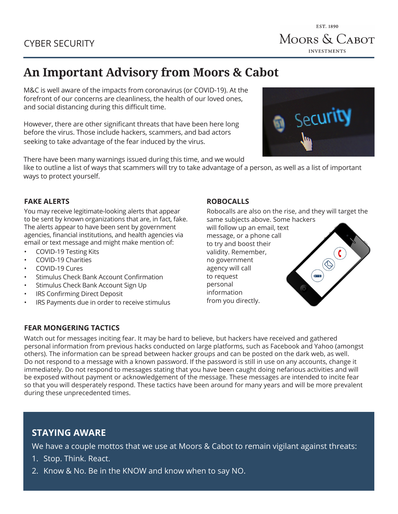# EST. 1890 MOORS & CABOT **INVESTMENTS**

# **An Important Advisory from Moors & Cabot**

M&C is well aware of the impacts from coronavirus (or COVID-19). At the forefront of our concerns are cleanliness, the health of our loved ones, and social distancing during this difficult time.

However, there are other significant threats that have been here long before the virus. Those include hackers, scammers, and bad actors seeking to take advantage of the fear induced by the virus.

There have been many warnings issued during this time, and we would

like to outline a list of ways that scammers will try to take advantage of a person, as well as a list of important ways to protect yourself.

# **FAKE ALERTS**

You may receive legitimate-looking alerts that appear to be sent by known organizations that are, in fact, fake. The alerts appear to have been sent by government agencies, financial institutions, and health agencies via email or text message and might make mention of:

- COVID-19 Testing Kits
- COVID-19 Charities
- COVID-19 Cures
- Stimulus Check Bank Account Confirmation
- Stimulus Check Bank Account Sign Up
- IRS Confirming Direct Deposit
- IRS Payments due in order to receive stimulus

#### **ROBOCALLS**

Robocalls are also on the rise, and they will target the same subjects above. Some hackers

will follow up an email, text message, or a phone call to try and boost their validity. Remember, no government agency will call to request personal information from you directly.

 $\left( \begin{array}{c} \begin{array}{c} \hline \hline \hline \hline \hline \hline \hline \hline \hline \end{array} \end{array} \right)$ 

## **FEAR MONGERING TACTICS**

Watch out for messages inciting fear. It may be hard to believe, but hackers have received and gathered personal information from previous hacks conducted on large platforms, such as Facebook and Yahoo (amongst others). The information can be spread between hacker groups and can be posted on the dark web, as well. Do not respond to a message with a known password. If the password is still in use on any accounts, change it immediately. Do not respond to messages stating that you have been caught doing nefarious activities and will be exposed without payment or acknowledgement of the message. These messages are intended to incite fear so that you will desperately respond. These tactics have been around for many years and will be more prevalent during these unprecedented times.

# **STAYING AWARE**

We have a couple mottos that we use at Moors & Cabot to remain vigilant against threats:

- 1. Stop. Think. React.
- 2. Know & No. Be in the KNOW and know when to say NO.